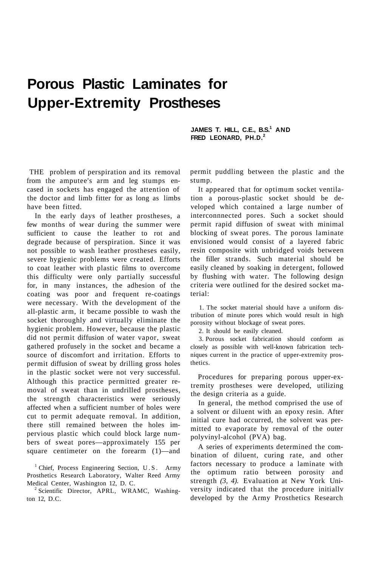# **Porous Plastic Laminates for Upper-Extremity Prostheses**

THE problem of perspiration and its removal from the amputee's arm and leg stumps encased in sockets has engaged the attention of the doctor and limb fitter for as long as limbs have been fitted.

In the early days of leather prostheses, a few months of wear during the summer were sufficient to cause the leather to rot and degrade because of perspiration. Since it was not possible to wash leather prostheses easily, severe hygienic problems were created. Efforts to coat leather with plastic films to overcome this difficulty were only partially successful for, in many instances, the adhesion of the coating was poor and frequent re-coatings were necessary. With the development of the all-plastic arm, it became possible to wash the socket thoroughly and virtually eliminate the hygienic problem. However, because the plastic did not permit diffusion of water vapor, sweat gathered profusely in the socket and became a source of discomfort and irritation. Efforts to permit diffusion of sweat by drilling gross holes in the plastic socket were not very successful. Although this practice permitted greater removal of sweat than in undrilled prostheses, the strength characteristics were seriously affected when a sufficient number of holes were cut to permit adequate removal. In addition, there still remained between the holes impervious plastic which could block large numbers of sweat pores—approximately 155 per square centimeter on the forearm (1)—and

<sup>1</sup> Chief, Process Engineering Section, U.S. Army Prosthetics Research Laboratory, Walter Reed Army Medical Center, Washington 12, D. C.

<sup>2</sup> Scientific Director, APRL, WRAMC, Washington 12, D.C.

permit puddling between the plastic and the stump.

It appeared that for optimum socket ventilation a porous-plastic socket should be developed which contained a large number of interconnnected pores. Such a socket should permit rapid diffusion of sweat with minimal blocking of sweat pores. The porous laminate envisioned would consist of a layered fabric resin composite with unbridged voids between the filler strands. Such material should be easily cleaned by soaking in detergent, followed by flushing with water. The following design criteria were outlined for the desired socket material:

1. The socket material should have a uniform distribution of minute pores which would result in high porosity without blockage of sweat pores.

2. It should be easily cleaned.

3. Porous socket fabrication should conform as closely as possible with well-known fabrication techniques current in the practice of upper-extremity prosthetics.

Procedures for preparing porous upper-extremity prostheses were developed, utilizing the design criteria as a guide.

In general, the method comprised the use of a solvent or diluent with an epoxy resin. After initial cure had occurred, the solvent was permitted to evaporate by removal of the outer polyvinyl-alcohol (PVA) bag.

A series of experiments determined the combination of diluent, curing rate, and other factors necessary to produce a laminate with the optimum ratio between porosity and strength *(3, 4).* Evaluation at New York University indicated that the procedure initiallv developed by the Army Prosthetics Research

**JAMES T. HILL, C.E., B.S.<sup>1</sup> AND FRED LEONARD, PH.D.<sup>2</sup>**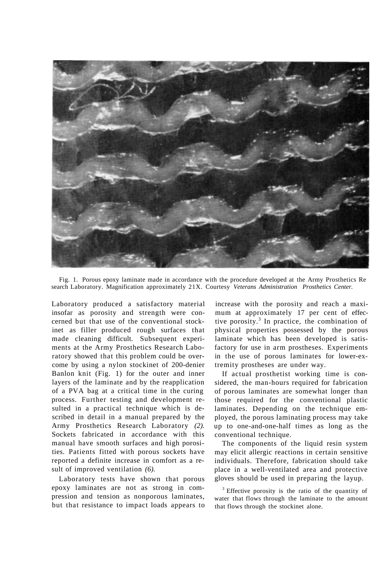

Fig. 1. Porous epoxy laminate made in accordance with the procedure developed at the Army Prosthetics Re search Laboratory. Magnification approximately 21X. Courtesy *Veterans Administration Prosthetics Center.* 

Laboratory produced a satisfactory material insofar as porosity and strength were concerned but that use of the conventional stockinet as filler produced rough surfaces that made cleaning difficult. Subsequent experiments at the Army Prosthetics Research Laboratory showed that this problem could be overcome by using a nylon stockinet of 200-denier Banlon knit (Fig. 1) for the outer and inner layers of the laminate and by the reapplication of a PVA bag at a critical time in the curing process. Further testing and development resulted in a practical technique which is described in detail in a manual prepared by the Army Prosthetics Research Laboratory *(2).*  Sockets fabricated in accordance with this manual have smooth surfaces and high porosities. Patients fitted with porous sockets have reported a definite increase in comfort as a result of improved ventilation *(6).* 

Laboratory tests have shown that porous epoxy laminates are not as strong in compression and tension as nonporous laminates, but that resistance to impact loads appears to

increase with the porosity and reach a maximum at approximately 17 per cent of effective porosity. $3$  In practice, the combination of physical properties possessed by the porous laminate which has been developed is satisfactory for use in arm prostheses. Experiments in the use of porous laminates for lower-extremity prostheses are under way.

If actual prosthetist working time is considered, the man-hours required for fabrication of porous laminates are somewhat longer than those required for the conventional plastic laminates. Depending on the technique employed, the porous laminating process may take up to one-and-one-half times as long as the conventional technique.

The components of the liquid resin system may elicit allergic reactions in certain sensitive individuals. Therefore, fabrication should take place in a well-ventilated area and protective gloves should be used in preparing the layup.

<sup>3</sup> Effective porosity is the ratio of the quantity of water that flows through the laminate to the amount that flows through the stockinet alone.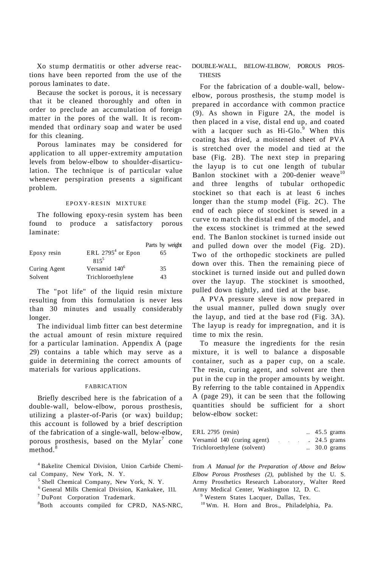Xo stump dermatitis or other adverse reactions have been reported from the use of the porous laminates to date.

Because the socket is porous, it is necessary that it be cleaned thoroughly and often in order to preclude an accumulation of foreign matter in the pores of the wall. It is recommended that ordinary soap and water be used for this cleaning.

Porous laminates may be considered for application to all upper-extremity amputation levels from below-elbow to shoulder-disarticulation. The technique is of particular value whenever perspiration presents a significant problem.

## EPOXY-RESIN MIXTURE

The following epoxy-resin system has been found to produce a satisfactory porous laminate:

|              |                      | Parts by weight |
|--------------|----------------------|-----------------|
| Epoxy resin  | ERL $2795^4$ or Epon | 65              |
|              | $815^{5}$            |                 |
| Curing Agent | Versamid $1406$      | 35              |
| Solvent      | Trichloroethylene    | 43              |

The "pot life" of the liquid resin mixture resulting from this formulation is never less than 30 minutes and usually considerably longer.

The individual limb fitter can best determine the actual amount of resin mixture required for a particular lamination. Appendix A (page 29) contains a table which may serve as a guide in determining the correct amounts of materials for various applications.

## FABRICATION

Briefly described here is the fabrication of a double-wall, below-elbow, porous prosthesis, utilizing a plaster-of-Paris (or wax) buildup; this account is followed by a brief description of the fabrication of a single-wall, below-elbow, porous prosthesis, based on the Mylar<sup>7</sup> cone method.<sup>8</sup>

4 Bakelite Chemical Division, Union Carbide Chemical Company, New York, N. Y.

- 5 Shell Chemical Company, New York, N. Y.
- 6 General Mills Chemical Division, Kankakee, 111.
- <sup>7</sup> DuPont Corporation Trademark.

<sup>8</sup>Both accounts compiled for CPRD, NAS-NRC,

## DOUBLE-WALL, BELOW-ELBOW, POROUS PROS-THESIS

For the fabrication of a double-wall, belowelbow, porous prosthesis, the stump model is prepared in accordance with common practice (9). As shown in Figure 2A, the model is then placed in a vise, distal end up, and coated with a lacquer such as  $Hi-Glo.<sup>9</sup>$  When this coating has dried, a moistened sheet of PVA is stretched over the model and tied at the base (Fig. 2B). The next step in preparing the layup is to cut one length of tubular Banlon stockinet with a 200-denier weave<sup>10</sup> and three lengths of tubular orthopedic stockinet so that each is at least 6 inches longer than the stump model (Fig. 2C). The end of each piece of stockinet is sewed in a curve to match the distal end of the model, and the excess stockinet is trimmed at the sewed end. The Banlon stockinet is turned inside out and pulled down over the model (Fig. 2D). Two of the orthopedic stockinets are pulled down over this. Then the remaining piece of stockinet is turned inside out and pulled down over the layup. The stockinet is smoothed, pulled down tightly, and tied at the base.

A PVA pressure sleeve is now prepared in the usual manner, pulled down snugly over the layup, and tied at the base rod (Fig. 3A). The layup is ready for impregnation, and it is time to mix the resin.

To measure the ingredients for the resin mixture, it is well to balance a disposable container, such as a paper cup, on a scale. The resin, curing agent, and solvent are then put in the cup in the proper amounts by weight. By referring to the table contained in Appendix A (page 29), it can be seen that the following quantities should be sufficient for a short below-elbow socket:

| $ERL$ 2795 (resin)          |                               |  | $\therefore$ 45.5 grams |
|-----------------------------|-------------------------------|--|-------------------------|
| Versamid 140 (curing agent) | the control of the control of |  | $\therefore$ 24.5 grams |
| Trichloroethylene (solvent) |                               |  | $\therefore$ 30.0 grams |

from *A Manual for the Preparation of Above and Below Elbow Porous Prostheses (2),* published by the U. S. Army Prosthetics Research Laboratory, Walter Reed Army Medical Center, Washington 12, D. C.

9 Western States Lacquer, Dallas, Tex.

10 Wm. H. Horn and Bros., Philadelphia, Pa.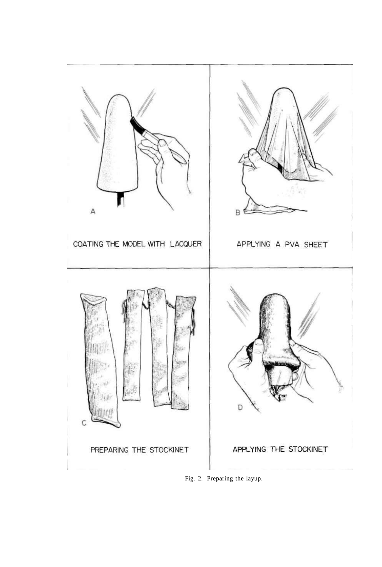

Fig. 2. Preparing the layup.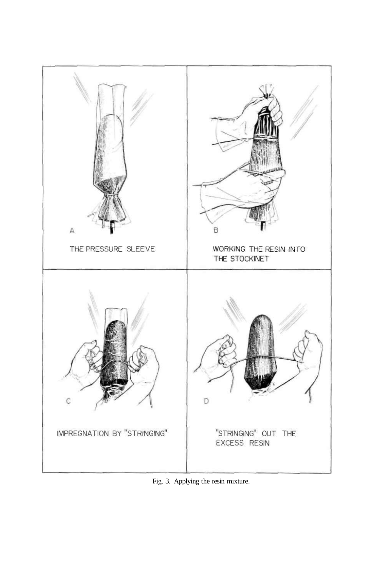

Fig. 3. Applying the resin mixture.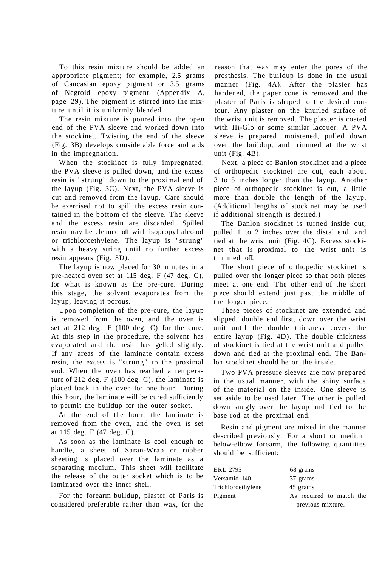To this resin mixture should be added an appropriate pigment; for example, 2.5 grams of Caucasian epoxy pigment or 3.5 grams of Negroid epoxy pigment (Appendix A, page 29). The pigment is stirred into the mixture until it is uniformly blended.

The resin mixture is poured into the open end of the PVA sleeve and worked down into the stockinet. Twisting the end of the sleeve (Fig. 3B) develops considerable force and aids in the impregnation.

When the stockinet is fully impregnated, the PVA sleeve is pulled down, and the excess resin is "strung" down to the proximal end of the layup (Fig. 3C). Next, the PVA sleeve is cut and removed from the layup. Care should be exercised not to spill the excess resin contained in the bottom of the sleeve. The sleeve and the excess resin are discarded. Spilled resin may be cleaned off with isopropyl alcohol or trichloroethylene. The layup is "strung" with a heavy string until no further excess resin appears (Fig. 3D).

The layup is now placed for 30 minutes in a pre-heated oven set at 115 deg. F (47 deg. C), for what is known as the pre-cure. During this stage, the solvent evaporates from the layup, leaving it porous.

Upon completion of the pre-cure, the layup is removed from the oven, and the oven is set at 212 deg. F (100 deg. C) for the cure. At this step in the procedure, the solvent has evaporated and the resin has gelled slightly. If any areas of the laminate contain excess resin, the excess is "strung" to the proximal end. When the oven has reached a temperature of 212 deg. F (100 deg. C), the laminate is placed back in the oven for one hour. During this hour, the laminate will be cured sufficiently to permit the buildup for the outer socket.

At the end of the hour, the laminate is removed from the oven, and the oven is set at 115 deg. F (47 deg. C).

As soon as the laminate is cool enough to handle, a sheet of Saran-Wrap or rubber sheeting is placed over the laminate as a separating medium. This sheet will facilitate the release of the outer socket which is to be laminated over the inner shell.

For the forearm buildup, plaster of Paris is considered preferable rather than wax, for the

reason that wax may enter the pores of the prosthesis. The buildup is done in the usual manner (Fig. 4A). After the plaster has hardened, the paper cone is removed and the plaster of Paris is shaped to the desired contour. Any plaster on the knurled surface of the wrist unit is removed. The plaster is coated with Hi-Glo or some similar lacquer. A PVA sleeve is prepared, moistened, pulled down over the buildup, and trimmed at the wrist unit (Fig. 4B).

Next, a piece of Banlon stockinet and a piece of orthopedic stockinet are cut, each about 3 to 5 inches longer than the layup. Another piece of orthopedic stockinet is cut, a little more than double the length of the layup. (Additional lengths of stockinet may be used if additional strength is desired.)

The Banlon stockinet is turned inside out, pulled 1 to 2 inches over the distal end, and tied at the wrist unit (Fig. 4C). Excess stockinet that is proximal to the wrist unit is trimmed off.

The short piece of orthopedic stockinet is pulled over the longer piece so that both pieces meet at one end. The other end of the short piece should extend just past the middle of the longer piece.

These pieces of stockinet are extended and slipped, double end first, down over the wrist unit until the double thickness covers the entire layup (Fig. 4D). The double thickness of stockinet is tied at the wrist unit and pulled down and tied at the proximal end. The Banlon stockinet should be on the inside.

Two PVA pressure sleeves are now prepared in the usual manner, with the shiny surface of the material on the inside. One sleeve is set aside to be used later. The other is pulled down snugly over the layup and tied to the base rod at the proximal end.

Resin and pigment are mixed in the manner described previously. For a short or medium below-elbow forearm, the following quantities should be sufficient:

| ERL 2795          | 68 grams                 |  |  |
|-------------------|--------------------------|--|--|
| Versamid 140      | 37 grams                 |  |  |
| Trichloroethylene | 45 grams                 |  |  |
| Pigment           | As required to match the |  |  |
|                   | previous mixture.        |  |  |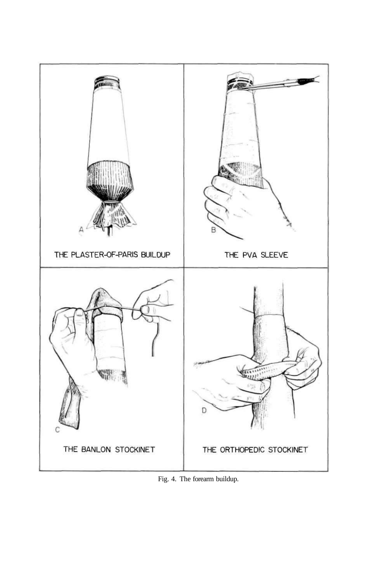

Fig. 4. The forearm buildup.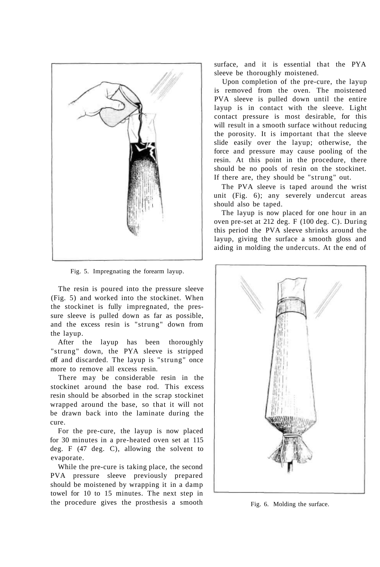

Fig. 5. Impregnating the forearm layup.

The resin is poured into the pressure sleeve (Fig. 5) and worked into the stockinet. When the stockinet is fully impregnated, the pressure sleeve is pulled down as far as possible, and the excess resin is "strung" down from the layup.

After the layup has been thoroughly "strung" down, the PYA sleeve is stripped off and discarded. The layup is "strung" once more to remove all excess resin.

There may be considerable resin in the stockinet around the base rod. This excess resin should be absorbed in the scrap stockinet wrapped around the base, so that it will not be drawn back into the laminate during the cure.

For the pre-cure, the layup is now placed for 30 minutes in a pre-heated oven set at 115 deg. F (47 deg. C), allowing the solvent to evaporate.

While the pre-cure is taking place, the second PVA pressure sleeve previously prepared should be moistened by wrapping it in a damp towel for 10 to 15 minutes. The next step in the procedure gives the prosthesis a smooth surface, and it is essential that the PYA sleeve be thoroughly moistened.

Upon completion of the pre-cure, the layup is removed from the oven. The moistened PVA sleeve is pulled down until the entire layup is in contact with the sleeve. Light contact pressure is most desirable, for this will result in a smooth surface without reducing the porosity. It is important that the sleeve slide easily over the layup; otherwise, the force and pressure may cause pooling of the resin. At this point in the procedure, there should be no pools of resin on the stockinet. If there are, they should be "strung" out.

The PVA sleeve is taped around the wrist unit (Fig. 6); any severely undercut areas should also be taped.

The layup is now placed for one hour in an oven pre-set at 212 deg. F (100 deg. C). During this period the PVA sleeve shrinks around the layup, giving the surface a smooth gloss and aiding in molding the undercuts. At the end of



Fig. 6. Molding the surface.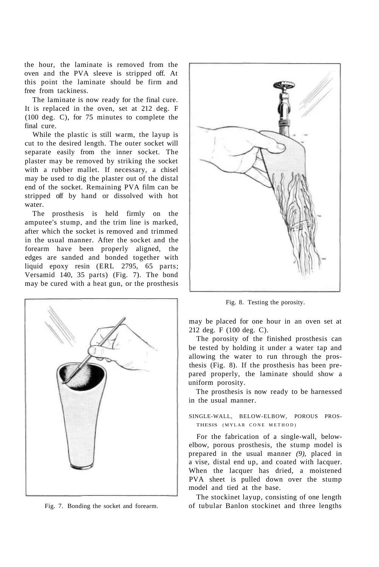the hour, the laminate is removed from the oven and the PVA sleeve is stripped off. At this point the laminate should be firm and free from tackiness.

The laminate is now ready for the final cure. It is replaced in the oven, set at 212 deg. F (100 deg. C), for 75 minutes to complete the final cure.

While the plastic is still warm, the layup is cut to the desired length. The outer socket will separate easily from the inner socket. The plaster may be removed by striking the socket with a rubber mallet. If necessary, a chisel may be used to dig the plaster out of the distal end of the socket. Remaining PVA film can be stripped off by hand or dissolved with hot water.

The prosthesis is held firmly on the amputee's stump, and the trim line is marked, after which the socket is removed and trimmed in the usual manner. After the socket and the forearm have been properly aligned, the edges are sanded and bonded together with liquid epoxy resin (ERL 2795, 65 parts; Versamid 140, 35 parts) (Fig. 7). The bond may be cured with a heat gun, or the prosthesis



Fig. 7. Bonding the socket and forearm.



Fig. 8. Testing the porosity.

may be placed for one hour in an oven set at 212 deg. F (100 deg. C).

The porosity of the finished prosthesis can be tested by holding it under a water tap and allowing the water to run through the prosthesis (Fig. 8). If the prosthesis has been prepared properly, the laminate should show a uniform porosity.

The prosthesis is now ready to be harnessed in the usual manner.

SINGLE-WALL, BELOW-ELBOW, POROUS PROS-THESIS (MYLAR CONE METHOD)

For the fabrication of a single-wall, belowelbow, porous prosthesis, the stump model is prepared in the usual manner *(9),* placed in a vise, distal end up, and coated with lacquer. When the lacquer has dried, a moistened PVA sheet is pulled down over the stump model and tied at the base.

The stockinet layup, consisting of one length of tubular Banlon stockinet and three lengths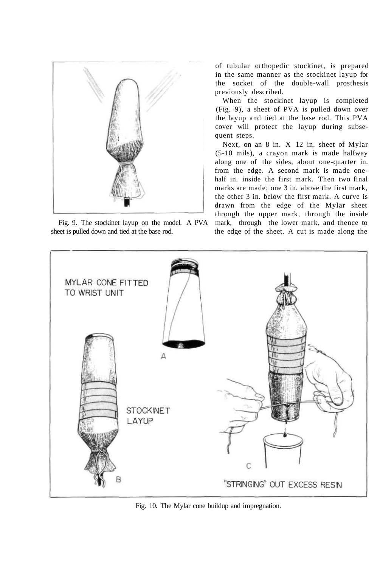

sheet is pulled down and tied at the base rod. the edge of the sheet. A cut is made along the

of tubular orthopedic stockinet, is prepared in the same manner as the stockinet layup for the socket of the double-wall prosthesis previously described.

When the stockinet layup is completed (Fig. 9), a sheet of PVA is pulled down over the layup and tied at the base rod. This PVA cover will protect the layup during subsequent steps.

Next, on an 8 in. X 12 in. sheet of Mylar (5-10 mils), a crayon mark is made halfway along one of the sides, about one-quarter in. from the edge. A second mark is made onehalf in. inside the first mark. Then two final marks are made; one 3 in, above the first mark the other 3 in. below the first mark. A curve is drawn from the edge of the Mylar sheet through the upper mark, through the inside Fig. 9. The stockinet layup on the model. A PVA mark, through the lower mark, and thence to



Fig. 10. The Mylar cone buildup and impregnation.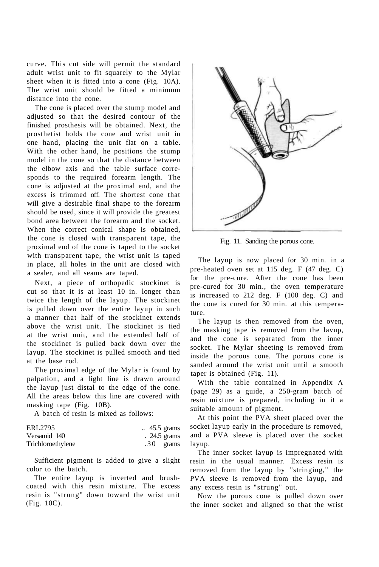curve. This cut side will permit the standard adult wrist unit to fit squarely to the Mylar sheet when it is fitted into a cone (Fig. 10A). The wrist unit should be fitted a minimum distance into the cone.

The cone is placed over the stump model and adjusted so that the desired contour of the finished prosthesis will be obtained. Next, the prosthetist holds the cone and wrist unit in one hand, placing the unit flat on a table. With the other hand, he positions the stump model in the cone so that the distance between the elbow axis and the table surface corresponds to the required forearm length. The cone is adjusted at the proximal end, and the excess is trimmed off. The shortest cone that will give a desirable final shape to the forearm should be used, since it will provide the greatest bond area between the forearm and the socket. When the correct conical shape is obtained, the cone is closed with transparent tape, the proximal end of the cone is taped to the socket with transparent tape, the wrist unit is taped in place, all holes in the unit are closed with a sealer, and all seams are taped.

Next, a piece of orthopedic stockinet is cut so that it is at least 10 in. longer than twice the length of the layup. The stockinet is pulled down over the entire layup in such a manner that half of the stockinet extends above the wrist unit. The stockinet is tied at the wrist unit, and the extended half of the stockinet is pulled back down over the layup. The stockinet is pulled smooth and tied at the base rod.

The proximal edge of the Mylar is found by palpation, and a light line is drawn around the layup just distal to the edge of the cone. All the areas below this line are covered with masking tape (Fig. 10B).

A batch of resin is mixed as follows:

| <b>ERL2795</b>    |              |              |              | $\therefore$ 45.5 grams |
|-------------------|--------------|--------------|--------------|-------------------------|
| Versamid 140      | $\mathbf{r}$ | $\mathbf{r}$ | $\mathbf{r}$ | $\therefore$ 24.5 grams |
| Trichloroethylene |              |              |              | $.30$ grams             |

Sufficient pigment is added to give a slight color to the batch.

The entire layup is inverted and brushcoated with this resin mixture. The excess resin is "strung" down toward the wrist unit (Fig. 10C).



Fig. 11. Sanding the porous cone.

The layup is now placed for 30 min. in a pre-heated oven set at 115 deg. F (47 deg. C) for the pre-cure. After the cone has been pre-cured for 30 min., the oven temperature is increased to 212 deg. F (100 deg. C) and the cone is cured for 30 min. at this temperature.

The layup is then removed from the oven, the masking tape is removed from the lavup, and the cone is separated from the inner socket. The Mylar sheeting is removed from inside the porous cone. The porous cone is sanded around the wrist unit until a smooth taper is obtained (Fig. 11).

With the table contained in Appendix A (page 29) as a guide, a 250-gram batch of resin mixture is prepared, including in it a suitable amount of pigment.

At this point the PVA sheet placed over the socket layup early in the procedure is removed, and a PVA sleeve is placed over the socket layup.

The inner socket layup is impregnated with resin in the usual manner. Excess resin is removed from the layup by "stringing," the PVA sleeve is removed from the layup, and any excess resin is "strung" out.

Now the porous cone is pulled down over the inner socket and aligned so that the wrist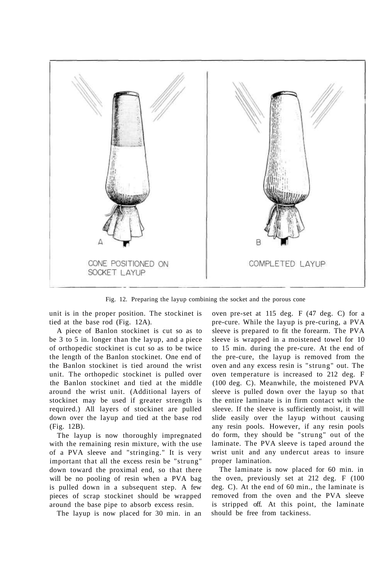

Fig. 12. Preparing the layup combining the socket and the porous cone

unit is in the proper position. The stockinet is tied at the base rod (Fig. 12A).

A piece of Banlon stockinet is cut so as to be 3 to 5 in. longer than the layup, and a piece of orthopedic stockinet is cut so as to be twice the length of the Banlon stockinet. One end of the Banlon stockinet is tied around the wrist unit. The orthopedic stockinet is pulled over the Banlon stockinet and tied at the middle around the wrist unit. (Additional layers of stockinet may be used if greater strength is required.) All layers of stockinet are pulled down over the layup and tied at the base rod (Fig. 12B).

The layup is now thoroughly impregnated with the remaining resin mixture, with the use of a PVA sleeve and "stringing." It is very important that all the excess resin be "strung" down toward the proximal end, so that there will be no pooling of resin when a PVA bag is pulled down in a subsequent step. A few pieces of scrap stockinet should be wrapped around the base pipe to absorb excess resin.

The layup is now placed for 30 min. in an

oven pre-set at 115 deg. F (47 deg. C) for a pre-cure. While the layup is pre-curing, a PVA sleeve is prepared to fit the forearm. The PVA sleeve is wrapped in a moistened towel for 10 to 15 min. during the pre-cure. At the end of the pre-cure, the layup is removed from the oven and any excess resin is "strung" out. The oven temperature is increased to 212 deg. F (100 deg. C). Meanwhile, the moistened PVA sleeve is pulled down over the layup so that the entire laminate is in firm contact with the sleeve. If the sleeve is sufficiently moist, it will slide easily over the layup without causing any resin pools. However, if any resin pools do form, they should be "strung" out of the laminate. The PVA sleeve is taped around the wrist unit and any undercut areas to insure proper lamination.

The laminate is now placed for 60 min. in the oven, previously set at 212 deg. F (100 deg. C). At the end of 60 min., the laminate is removed from the oven and the PVA sleeve is stripped off. At this point, the laminate should be free from tackiness.